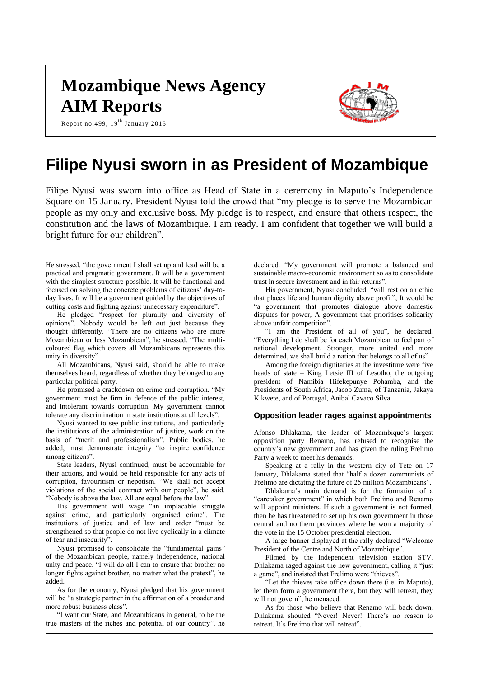# **Mozambique News Agency AIM Reports**

Report no.499,  $19^{\text{th}}$  January 2015



## **Filipe Nyusi sworn in as President of Mozambique**

Filipe Nyusi was sworn into office as Head of State in a ceremony in Maputo's Independence Square on 15 January. President Nyusi told the crowd that "my pledge is to serve the Mozambican people as my only and exclusive boss. My pledge is to respect, and ensure that others respect, the constitution and the laws of Mozambique. I am ready. I am confident that together we will build a bright future for our children".

He stressed, "the government I shall set up and lead will be a practical and pragmatic government. It will be a government with the simplest structure possible. It will be functional and focused on solving the concrete problems of citizens' day-today lives. It will be a government guided by the objectives of cutting costs and fighting against unnecessary expenditure".

He pledged "respect for plurality and diversity of opinions". Nobody would be left out just because they thought differently. "There are no citizens who are more Mozambican or less Mozambican", he stressed. "The multicoloured flag which covers all Mozambicans represents this unity in diversity".

All Mozambicans, Nyusi said, should be able to make themselves heard, regardless of whether they belonged to any particular political party.

He promised a crackdown on crime and corruption. "My government must be firm in defence of the public interest, and intolerant towards corruption. My government cannot tolerate any discrimination in state institutions at all levels".

Nyusi wanted to see public institutions, and particularly the institutions of the administration of justice, work on the basis of "merit and professionalism". Public bodies, he added, must demonstrate integrity "to inspire confidence among citizens".

State leaders, Nyusi continued, must be accountable for their actions, and would be held responsible for any acts of corruption, favouritism or nepotism. "We shall not accept violations of the social contract with our people", he said. "Nobody is above the law. All are equal before the law".

His government will wage "an implacable struggle against crime, and particularly organised crime". The institutions of justice and of law and order "must be strengthened so that people do not live cyclically in a climate of fear and insecurity".

Nyusi promised to consolidate the "fundamental gains" of the Mozambican people, namely independence, national unity and peace. "I will do all I can to ensure that brother no longer fights against brother, no matter what the pretext", he added.

As for the economy, Nyusi pledged that his government will be "a strategic partner in the affirmation of a broader and more robust business class".

"I want our State, and Mozambicans in general, to be the true masters of the riches and potential of our country", he declared. "My government will promote a balanced and sustainable macro-economic environment so as to consolidate trust in secure investment and in fair returns".

His government, Nyusi concluded, "will rest on an ethic that places life and human dignity above profit", It would be "a government that promotes dialogue above domestic disputes for power, A government that prioritises solidarity above unfair competition".

"I am the President of all of you", he declared. "Everything I do shall be for each Mozambican to feel part of national development. Stronger, more united and more determined, we shall build a nation that belongs to all of us"

Among the foreign dignitaries at the investiture were five heads of state – King Letsie III of Lesotho, the outgoing president of Namibia Hifekepunye Pohamba, and the Presidents of South Africa, Jacob Zuma, of Tanzania, Jakaya Kikwete, and of Portugal, Anibal Cavaco Silva.

#### **Opposition leader rages against appointments**

Afonso Dhlakama, the leader of Mozambique's largest opposition party Renamo, has refused to recognise the country's new government and has given the ruling Frelimo Party a week to meet his demands.

Speaking at a rally in the western city of Tete on 17 January, Dhlakama stated that "half a dozen communists of Frelimo are dictating the future of 25 million Mozambicans".

Dhlakama's main demand is for the formation of a "caretaker government" in which both Frelimo and Renamo will appoint ministers. If such a government is not formed, then he has threatened to set up his own government in those central and northern provinces where he won a majority of the vote in the 15 October presidential election.

A large banner displayed at the rally declared "Welcome President of the Centre and North of Mozambique".

Filmed by the independent television station STV, Dhlakama raged against the new government, calling it "just a game", and insisted that Frelimo were "thieves".

"Let the thieves take office down there (i.e. in Maputo), let them form a government there, but they will retreat, they will not govern", he menaced.

As for those who believe that Renamo will back down, Dhlakama shouted "Never! Never! There's no reason to retreat. It's Frelimo that will retreat".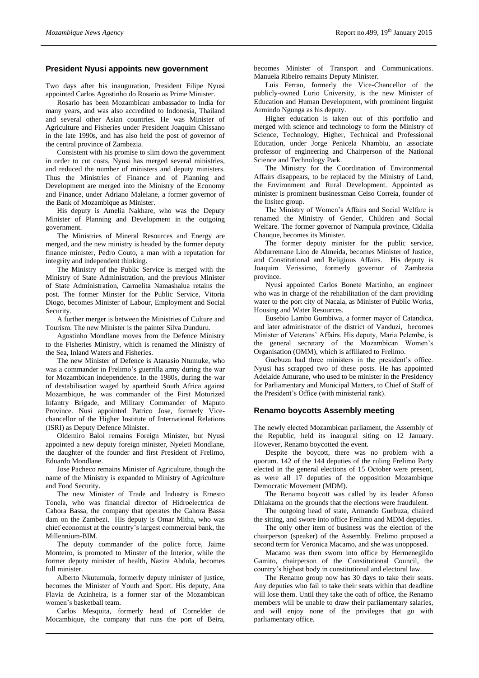#### **President Nyusi appoints new government**

Two days after his inauguration, President Filipe Nyusi appointed Carlos Agostinho do Rosario as Prime Minister.

Rosario has been Mozambican ambassador to India for many years, and was also accredited to Indonesia, Thailand and several other Asian countries. He was Minister of Agriculture and Fisheries under President Joaquim Chissano in the late 1990s, and has also held the post of governor of the central province of Zambezia.

Consistent with his promise to slim down the government in order to cut costs, Nyusi has merged several ministries, and reduced the number of ministers and deputy ministers. Thus the Ministries of Finance and of Planning and Development are merged into the Ministry of the Economy and Finance, under Adriano Maleiane, a former governor of the Bank of Mozambique as Minister.

His deputy is Amelia Nakhare, who was the Deputy Minister of Planning and Development in the outgoing government.

The Ministries of Mineral Resources and Energy are merged, and the new ministry is headed by the former deputy finance minister, Pedro Couto, a man with a reputation for integrity and independent thinking.

The Ministry of the Public Service is merged with the Ministry of State Administration, and the previous Minister of State Administration, Carmelita Namashalua retains the post. The former Minster for the Public Service, Vitoria Diogo, becomes Minister of Labour, Employment and Social Security.

A further merger is between the Ministries of Culture and Tourism. The new Minister is the painter Silva Dunduru.

Agostinho Mondlane moves from the Defence Ministry to the Fisheries Ministry, which is renamed the Ministry of the Sea, Inland Waters and Fisheries.

The new Minister of Defence is Atanasio Ntumuke, who was a commander in Frelimo's guerrilla army during the war for Mozambican independence. In the 1980s, during the war of destabilisation waged by apartheid South Africa against Mozambique, he was commander of the First Motorized Infantry Brigade, and Military Commander of Maputo Province. Nusi appointed Patrico Jose, formerly Vicechancellor of the Higher Institute of International Relations (ISRI) as Deputy Defence Minister.

Oldemiro Baloi remains Foreign Minister, but Nyusi appointed a new deputy foreign minister, Nyeleti Mondlane, the daughter of the founder and first President of Frelimo, Eduardo Mondlane.

Jose Pacheco remains Minister of Agriculture, though the name of the Ministry is expanded to Ministry of Agriculture and Food Security.

The new Minister of Trade and Industry is Ernesto Tonela, who was financial director of Hidroelectrica de Cahora Bassa, the company that operates the Cahora Bassa dam on the Zambezi. His deputy is Omar Mitha, who was chief economist at the country's largest commercial bank, the Millennium-BIM.

The deputy commander of the police force, Jaime Monteiro, is promoted to Minster of the Interior, while the former deputy minister of health, Nazira Abdula, becomes full minister.

Alberto Nkutumula, formerly deputy minister of justice, becomes the Minister of Youth and Sport. His deputy, Ana Flavia de Azinheira, is a former star of the Mozambican women's basketball team.

Carlos Mesquita, formerly head of Cornelder de Mocambique, the company that runs the port of Beira,

becomes Minister of Transport and Communications. Manuela Ribeiro remains Deputy Minister.

Luis Ferrao, formerly the Vice-Chancellor of the publicly-owned Lurio University, is the new Minister of Education and Human Development, with prominent linguist Armindo Ngunga as his deputy.

Higher education is taken out of this portfolio and merged with science and technology to form the Ministry of Science, Technology, Higher, Technical and Professional Education, under Jorge Penicela Nhambiu, an associate professor of engineering and Chairperson of the National Science and Technology Park.

The Ministry for the Coordination of Environmental Affairs disappears, to be replaced by the Ministry of Land, the Environment and Rural Development. Appointed as minister is prominent businessman Celso Correia, founder of the Insitec group.

The Ministry of Women's Affairs and Social Welfare is renamed the Ministry of Gender, Children and Social Welfare. The former governor of Nampula province, Cidalia Chauque, becomes its Minister.

The former deputy minister for the public service, Abdurremane Lino de Almeida, becomes Minister of Justice, and Constitutional and Religious Affairs. His deputy is Joaquim Verissimo, formerly governor of Zambezia province.

Nyusi appointed Carlos Bonete Martinho, an engineer who was in charge of the rehabilitation of the dam providing water to the port city of Nacala, as Minister of Public Works, Housing and Water Resources.

Eusebio Lambo Gumbiwa, a former mayor of Catandica, and later administrator of the district of Vanduzi, becomes Minister of Veterans' Affairs. His deputy, Maria Pelembe, is the general secretary of the Mozambican Women's Organisation (OMM), which is affiliated to Frelimo.

Guebuza had three ministers in the president's office. Nyusi has scrapped two of these posts. He has appointed Adelaide Amurane, who used to be minister in the Presidency for Parliamentary and Municipal Matters, to Chief of Staff of the President's Office (with ministerial rank).

#### **Renamo boycotts Assembly meeting**

The newly elected Mozambican parliament, the Assembly of the Republic, held its inaugural siting on 12 January. However, Renamo boycotted the event.

Despite the boycott, there was no problem with a quorum. 142 of the 144 deputies of the ruling Frelimo Party elected in the general elections of 15 October were present, as were all 17 deputies of the opposition Mozambique Democratic Movement (MDM).

The Renamo boycott was called by its leader Afonso Dhlakama on the grounds that the elections were fraudulent.

The outgoing head of state, Armando Guebuza, chaired the sitting, and swore into office Frelimo and MDM deputies.

The only other item of business was the election of the chairperson (speaker) of the Assembly. Frelimo proposed a second term for Veronica Macamo, and she was unopposed.

Macamo was then sworn into office by Hermenegildo Gamito, chairperson of the Constitutional Council, the country's highest body in constitutional and electoral law.

The Renamo group now has 30 days to take their seats. Any deputies who fail to take their seats within that deadline will lose them. Until they take the oath of office, the Renamo members will be unable to draw their parliamentary salaries, and will enjoy none of the privileges that go with parliamentary office.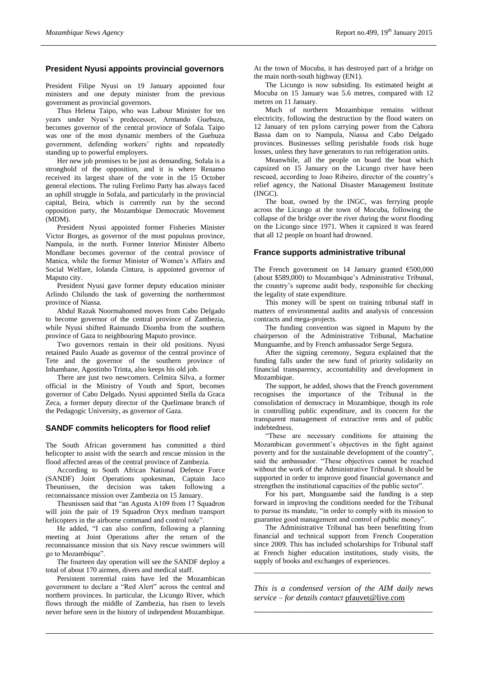#### **President Nyusi appoints provincial governors**

President Filipe Nyusi on 19 January appointed four ministers and one deputy minister from the previous government as provincial governors.

Thus Helena Taipo, who was Labour Minister for ten years under Nyusi's predecessor, Armando Guebuza, becomes governor of the central province of Sofala. Taipo was one of the most dynamic members of the Guebuza government, defending workers' rights and repeatedly standing up to powerful employers.

Her new job promises to be just as demanding. Sofala is a stronghold of the opposition, and it is where Renamo received its largest share of the vote in the 15 October general elections. The ruling Frelimo Party has always faced an uphill struggle in Sofala, and particularly in the provincial capital, Beira, which is currently run by the second opposition party, the Mozambique Democratic Movement (MDM).

President Nyusi appointed former Fisheries Minister Victor Borges, as governor of the most populous province, Nampula, in the north. Former Interior Minister Alberto Mondlane becomes governor of the central province of Manica, while the former Minister of Women's Affairs and Social Welfare, Iolanda Cintura, is appointed governor of Maputo city.

President Nyusi gave former deputy education minister Arlindo Chilundo the task of governing the northernmost province of Niassa.

Abdul Razak Noormahomed moves from Cabo Delgado to become governor of the central province of Zambezia, while Nyusi shifted Raimundo Diomba from the southern province of Gaza to neighbouring Maputo province.

Two governors remain in their old positions. Nyusi retained Paulo Auade as governor of the central province of Tete and the governor of the southern province of Inhambane, Agostinho Trinta, also keeps his old job.

There are just two newcomers. Celmira Silva, a former official in the Ministry of Youth and Sport, becomes governor of Cabo Delgado. Nyusi appointed Stella da Graca Zeca, a former deputy director of the Quelimane branch of the Pedagogic University, as governor of Gaza.

#### **SANDF commits helicopters for flood relief**

The South African government has committed a third helicopter to assist with the search and rescue mission in the flood affected areas of the central province of Zambezia.

According to South African National Defence Force (SANDF) Joint Operations spokesman, Captain Jaco Theunissen, the decision was taken following a reconnaissance mission over Zambezia on 15 January.

Theunissen said that "an Agusta A109 from 17 Squadron will join the pair of 19 Squadron Oryx medium transport helicopters in the airborne command and control role".

He added, "I can also confirm, following a planning meeting at Joint Operations after the return of the reconnaissance mission that six Navy rescue swimmers will go to Mozambique".

The fourteen day operation will see the SANDF deploy a total of about 170 airmen, divers and medical staff.

Persistent torrential rains have led the Mozambican government to declare a "Red Alert" across the central and northern provinces. In particular, the Licungo River, which flows through the middle of Zambezia, has risen to levels never before seen in the history of independent Mozambique. At the town of Mocuba, it has destroyed part of a bridge on the main north-south highway (EN1).

The Licungo is now subsiding. Its estimated height at Mocuba on 15 January was 5.6 metres, compared with 12 metres on 11 January.

Much of northern Mozambique remains without electricity, following the destruction by the flood waters on 12 January of ten pylons carrying power from the Cahora Bassa dam on to Nampula, Niassa and Cabo Delgado provinces. Businesses selling perishable foods risk huge losses, unless they have generators to run refrigeration units.

Meanwhile, all the people on board the boat which capsized on 15 January on the Licungo river have been rescued, according to Joao Ribeiro, director of the country's relief agency, the National Disaster Management Institute (INGC).

The boat, owned by the INGC, was ferrying people across the Licungo at the town of Mocuba, following the collapse of the bridge over the river during the worst flooding on the Licungo since 1971. When it capsized it was feared that all 12 people on board had drowned.

#### **France supports administrative tribunal**

The French government on 14 January granted  $€500,000$ (about \$589,000) to Mozambique's Administrative Tribunal, the country's supreme audit body, responsible for checking the legality of state expenditure.

This money will be spent on training tribunal staff in matters of environmental audits and analysis of concession contracts and mega-projects.

The funding convention was signed in Maputo by the chairperson of the Administrative Tribunal, Machatine Munguambe, and by French ambassador Serge Segura.

After the signing ceremony, Segura explained that the funding falls under the new fund of priority solidarity on financial transparency, accountability and development in Mozambique.

The support, he added, shows that the French government recognises the importance of the Tribunal in the consolidation of democracy in Mozambique, though its role in controlling public expenditure, and its concern for the transparent management of extractive rents and of public indebtedness.

"These are necessary conditions for attaining the Mozambican government's objectives in the fight against poverty and for the sustainable development of the country", said the ambassador. "These objectives cannot be reached without the work of the Administrative Tribunal. It should be supported in order to improve good financial governance and strengthen the institutional capacities of the public sector".

For his part, Munguambe said the funding is a step forward in improving the conditions needed for the Tribunal to pursue its mandate, "in order to comply with its mission to guarantee good management and control of public money".

The Administrative Tribunal has been benefitting from financial and technical support from French Cooperation since 2009. This has included scholarships for Tribunal staff at French higher education institutions, study visits, the supply of books and exchanges of experiences.

*This is a condensed version of the AIM daily news service – for details contact* [pfauvet@live.com](mailto:pfauvet@live.com) *\_\_\_\_\_\_\_\_\_\_\_\_\_\_\_\_\_\_\_\_\_\_\_\_\_\_\_\_\_\_\_\_\_\_\_\_\_*

*\_\_\_\_\_\_\_\_\_\_\_\_\_\_\_\_\_\_\_\_\_\_\_\_\_\_\_\_\_\_\_\_\_\_\_\_\_\_\_\_\_\_\_\_*